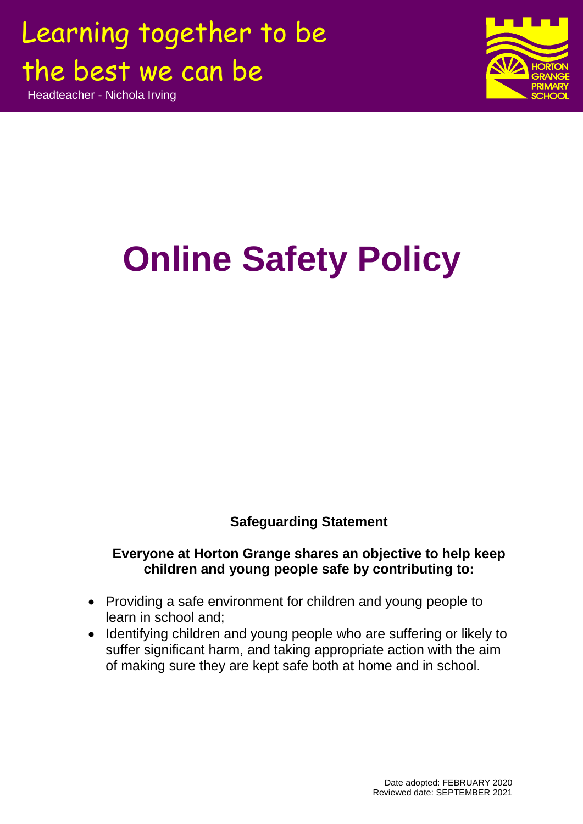Headteacher - Nichola Irving



# **Online Safety Policy**

### **Safeguarding Statement**

### **Everyone at Horton Grange shares an objective to help keep children and young people safe by contributing to:**

- Providing a safe environment for children and young people to learn in school and;
- Identifying children and young people who are suffering or likely to suffer significant harm, and taking appropriate action with the aim of making sure they are kept safe both at home and in school.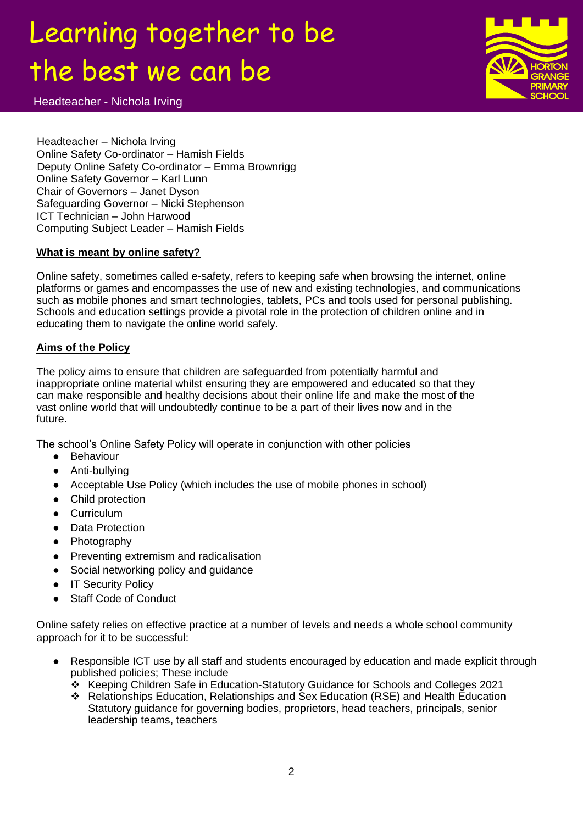Headteacher - Nichola Irving



Headteacher – Nichola Irving Online Safety Co-ordinator – Hamish Fields Deputy Online Safety Co-ordinator – Emma Brownrigg Online Safety Governor – Karl Lunn Chair of Governors – Janet Dyson Safeguarding Governor – Nicki Stephenson ICT Technician – John Harwood Computing Subject Leader – Hamish Fields

#### **What is meant by online safety?**

Online safety, sometimes called e-safety, refers to keeping safe when browsing the internet, online platforms or games and encompasses the use of new and existing technologies, and communications such as mobile phones and smart technologies, tablets, PCs and tools used for personal publishing. Schools and education settings provide a pivotal role in the protection of children online and in educating them to navigate the online world safely.

#### **Aims of the Policy**

The policy aims to ensure that children are safeguarded from potentially harmful and inappropriate online material whilst ensuring they are empowered and educated so that they can make responsible and healthy decisions about their online life and make the most of the vast online world that will undoubtedly continue to be a part of their lives now and in the future.

The school's Online Safety Policy will operate in conjunction with other policies

- Behaviour
- Anti-bullying
- Acceptable Use Policy (which includes the use of mobile phones in school)
- Child protection
- Curriculum
- Data Protection
- Photography
- Preventing extremism and radicalisation
- Social networking policy and guidance
- IT Security Policy
- Staff Code of Conduct

Online safety relies on effective practice at a number of levels and needs a whole school community approach for it to be successful:

- Responsible ICT use by all staff and students encouraged by education and made explicit through published policies; These include
	- Keeping Children Safe in Education-Statutory Guidance for Schools and Colleges 2021
	- Relationships Education, Relationships and Sex Education (RSE) and Health Education Statutory guidance for governing bodies, proprietors, head teachers, principals, senior leadership teams, teachers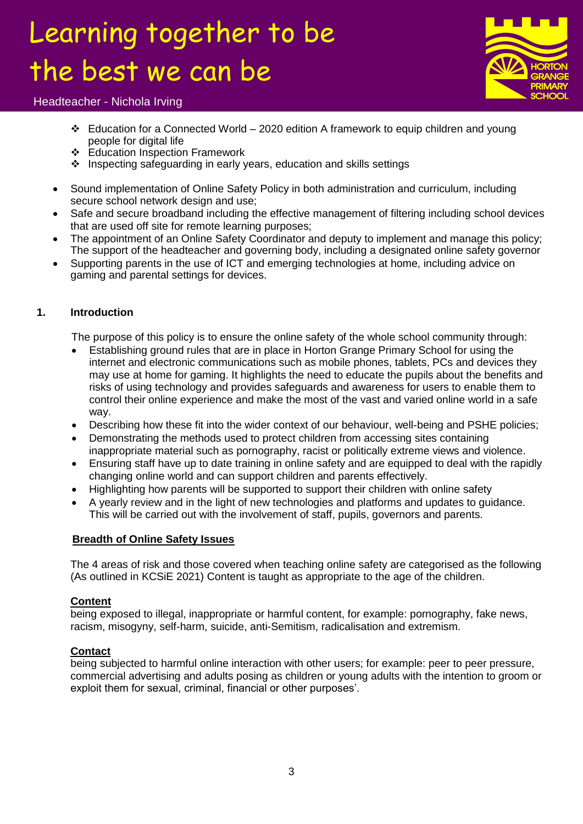

#### Headteacher - Nichola Irving

- $\div$  Education for a Connected World 2020 edition A framework to equip children and young people for digital life
- Education Inspection Framework
- ❖ Inspecting safeguarding in early years, education and skills settings
- Sound implementation of Online Safety Policy in both administration and curriculum, including secure school network design and use;
- Safe and secure broadband including the effective management of filtering including school devices that are used off site for remote learning purposes;
- The appointment of an Online Safety Coordinator and deputy to implement and manage this policy; The support of the headteacher and governing body, including a designated online safety governor
- Supporting parents in the use of ICT and emerging technologies at home, including advice on gaming and parental settings for devices.

#### **1. Introduction**

The purpose of this policy is to ensure the online safety of the whole school community through:

- Establishing ground rules that are in place in Horton Grange Primary School for using the internet and electronic communications such as mobile phones, tablets, PCs and devices they may use at home for gaming. It highlights the need to educate the pupils about the benefits and risks of using technology and provides safeguards and awareness for users to enable them to control their online experience and make the most of the vast and varied online world in a safe way.
- Describing how these fit into the wider context of our behaviour, well-being and PSHE policies;
- Demonstrating the methods used to protect children from accessing sites containing inappropriate material such as pornography, racist or politically extreme views and violence.
- Ensuring staff have up to date training in online safety and are equipped to deal with the rapidly changing online world and can support children and parents effectively.
- Highlighting how parents will be supported to support their children with online safety
- A yearly review and in the light of new technologies and platforms and updates to guidance. This will be carried out with the involvement of staff, pupils, governors and parents.

#### **Breadth of Online Safety Issues**

The 4 areas of risk and those covered when teaching online safety are categorised as the following (As outlined in KCSiE 2021) Content is taught as appropriate to the age of the children.

#### **Content**

being exposed to illegal, inappropriate or harmful content, for example: pornography, fake news, racism, misogyny, self-harm, suicide, anti-Semitism, radicalisation and extremism.

#### **Contact**

being subjected to harmful online interaction with other users; for example: peer to peer pressure, commercial advertising and adults posing as children or young adults with the intention to groom or exploit them for sexual, criminal, financial or other purposes'.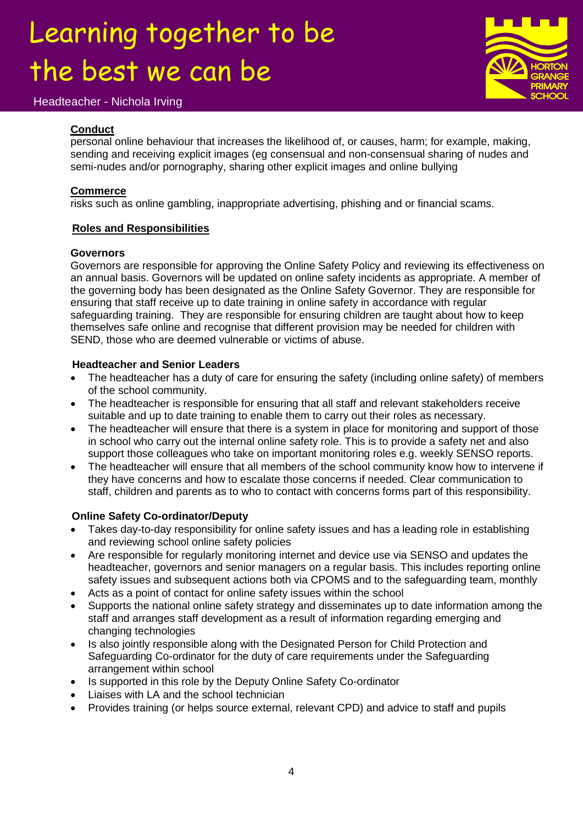#### Headteacher - Nichola Irving



#### **Conduct**

personal online behaviour that increases the likelihood of, or causes, harm; for example, making, sending and receiving explicit images (eg consensual and non-consensual sharing of nudes and semi-nudes and/or pornography, sharing other explicit images and online bullying

#### **Commerce**

risks such as online gambling, inappropriate advertising, phishing and or financial scams.

#### **Roles and Responsibilities**

#### **Governors**

Governors are responsible for approving the Online Safety Policy and reviewing its effectiveness on an annual basis. Governors will be updated on online safety incidents as appropriate. A member of the governing body has been designated as the Online Safety Governor. They are responsible for ensuring that staff receive up to date training in online safety in accordance with regular safeguarding training. They are responsible for ensuring children are taught about how to keep themselves safe online and recognise that different provision may be needed for children with SEND, those who are deemed vulnerable or victims of abuse.

#### **Headteacher and Senior Leaders**

- The headteacher has a duty of care for ensuring the safety (including online safety) of members of the school community.
- The headteacher is responsible for ensuring that all staff and relevant stakeholders receive suitable and up to date training to enable them to carry out their roles as necessary.
- The headteacher will ensure that there is a system in place for monitoring and support of those in school who carry out the internal online safety role. This is to provide a safety net and also support those colleagues who take on important monitoring roles e.g. weekly SENSO reports.
- The headteacher will ensure that all members of the school community know how to intervene if they have concerns and how to escalate those concerns if needed. Clear communication to staff, children and parents as to who to contact with concerns forms part of this responsibility.

#### **Online Safety Co-ordinator/Deputy**

- Takes day-to-day responsibility for online safety issues and has a leading role in establishing and reviewing school online safety policies
- Are responsible for regularly monitoring internet and device use via SENSO and updates the headteacher, governors and senior managers on a regular basis. This includes reporting online safety issues and subsequent actions both via CPOMS and to the safeguarding team, monthly
- Acts as a point of contact for online safety issues within the school
- Supports the national online safety strategy and disseminates up to date information among the staff and arranges staff development as a result of information regarding emerging and changing technologies
- Is also jointly responsible along with the Designated Person for Child Protection and Safeguarding Co-ordinator for the duty of care requirements under the Safeguarding arrangement within school
- Is supported in this role by the Deputy Online Safety Co-ordinator
- Liaises with LA and the school technician
- Provides training (or helps source external, relevant CPD) and advice to staff and pupils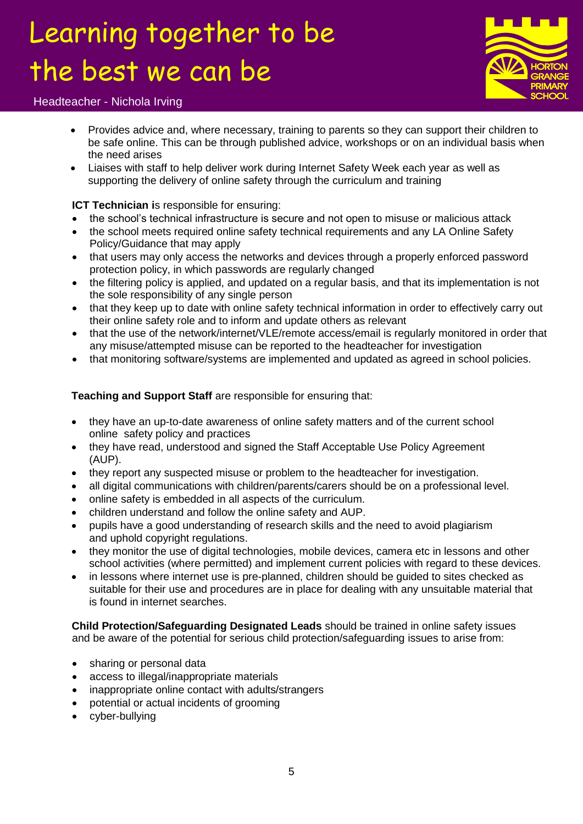

#### Headteacher - Nichola Irving

- Provides advice and, where necessary, training to parents so they can support their children to be safe online. This can be through published advice, workshops or on an individual basis when the need arises
- Liaises with staff to help deliver work during Internet Safety Week each year as well as supporting the delivery of online safety through the curriculum and training

#### **ICT Technician i**s responsible for ensuring:

- the school's technical infrastructure is secure and not open to misuse or malicious attack
- the school meets required online safety technical requirements and any LA Online Safety Policy/Guidance that may apply
- that users may only access the networks and devices through a properly enforced password protection policy, in which passwords are regularly changed
- the filtering policy is applied, and updated on a regular basis, and that its implementation is not the sole responsibility of any single person
- that they keep up to date with online safety technical information in order to effectively carry out their online safety role and to inform and update others as relevant
- that the use of the network/internet/VLE/remote access/email is regularly monitored in order that any misuse/attempted misuse can be reported to the headteacher for investigation
- that monitoring software/systems are implemented and updated as agreed in school policies.

#### **Teaching and Support Staff** are responsible for ensuring that:

- they have an up-to-date awareness of online safety matters and of the current school online safety policy and practices
- they have read, understood and signed the Staff Acceptable Use Policy Agreement (AUP).
- they report any suspected misuse or problem to the headteacher for investigation.
- all digital communications with children/parents/carers should be on a professional level.
- online safety is embedded in all aspects of the curriculum.
- children understand and follow the online safety and AUP.
- pupils have a good understanding of research skills and the need to avoid plagiarism and uphold copyright regulations.
- they monitor the use of digital technologies, mobile devices, camera etc in lessons and other school activities (where permitted) and implement current policies with regard to these devices.
- in lessons where internet use is pre-planned, children should be quided to sites checked as suitable for their use and procedures are in place for dealing with any unsuitable material that is found in internet searches.

**Child Protection/Safeguarding Designated Leads** should be trained in online safety issues and be aware of the potential for serious child protection/safeguarding issues to arise from:

- sharing or personal data
- access to illegal/inappropriate materials
- inappropriate online contact with adults/strangers
- potential or actual incidents of grooming
- cyber-bullying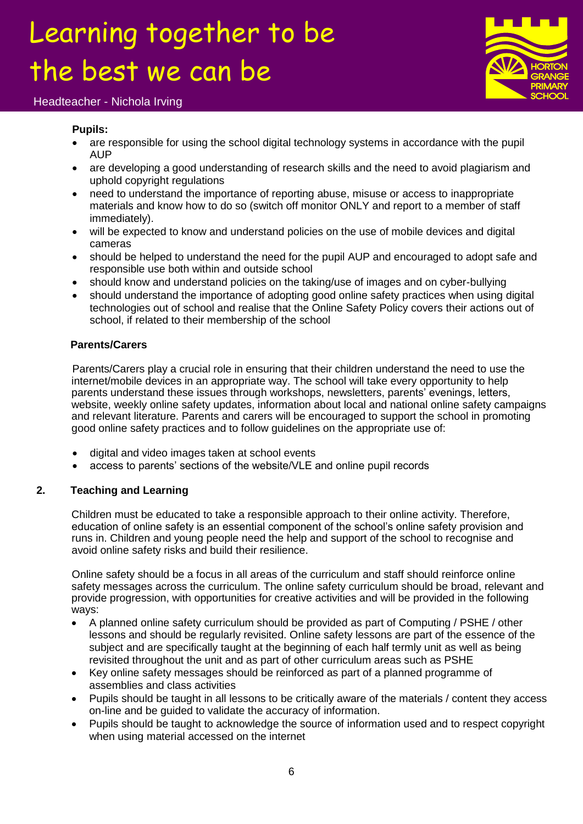

#### Headteacher - Nichola Irving

#### **Pupils:**

- are responsible for using the school digital technology systems in accordance with the pupil AUP
- are developing a good understanding of research skills and the need to avoid plagiarism and uphold copyright regulations
- need to understand the importance of reporting abuse, misuse or access to inappropriate materials and know how to do so (switch off monitor ONLY and report to a member of staff immediately).
- will be expected to know and understand policies on the use of mobile devices and digital cameras
- should be helped to understand the need for the pupil AUP and encouraged to adopt safe and responsible use both within and outside school
- should know and understand policies on the taking/use of images and on cyber-bullying
- should understand the importance of adopting good online safety practices when using digital technologies out of school and realise that the Online Safety Policy covers their actions out of school, if related to their membership of the school

#### **Parents/Carers**

Parents/Carers play a crucial role in ensuring that their children understand the need to use the internet/mobile devices in an appropriate way. The school will take every opportunity to help parents understand these issues through workshops, newsletters, parents' evenings, letters, website, weekly online safety updates, information about local and national online safety campaigns and relevant literature. Parents and carers will be encouraged to support the school in promoting good online safety practices and to follow guidelines on the appropriate use of:

- digital and video images taken at school events
- access to parents' sections of the website/VLE and online pupil records

#### **2. Teaching and Learning**

Children must be educated to take a responsible approach to their online activity. Therefore, education of online safety is an essential component of the school's online safety provision and runs in. Children and young people need the help and support of the school to recognise and avoid online safety risks and build their resilience.

Online safety should be a focus in all areas of the curriculum and staff should reinforce online safety messages across the curriculum. The online safety curriculum should be broad, relevant and provide progression, with opportunities for creative activities and will be provided in the following ways:

- A planned online safety curriculum should be provided as part of Computing / PSHE / other lessons and should be regularly revisited. Online safety lessons are part of the essence of the subject and are specifically taught at the beginning of each half termly unit as well as being revisited throughout the unit and as part of other curriculum areas such as PSHE
- Key online safety messages should be reinforced as part of a planned programme of assemblies and class activities
- Pupils should be taught in all lessons to be critically aware of the materials / content they access on-line and be guided to validate the accuracy of information.
- Pupils should be taught to acknowledge the source of information used and to respect copyright when using material accessed on the internet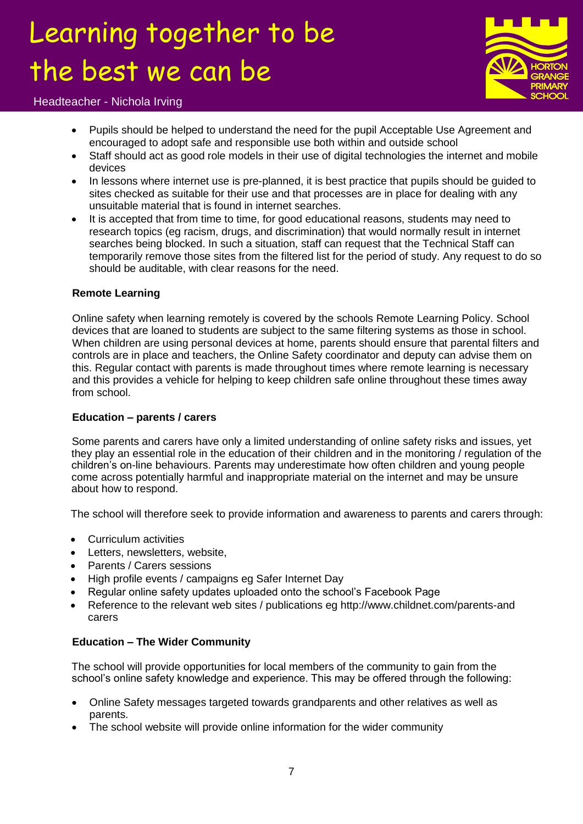

Headteacher - Nichola Irving

- Pupils should be helped to understand the need for the pupil Acceptable Use Agreement and encouraged to adopt safe and responsible use both within and outside school
- Staff should act as good role models in their use of digital technologies the internet and mobile devices
- In lessons where internet use is pre-planned, it is best practice that pupils should be quided to sites checked as suitable for their use and that processes are in place for dealing with any unsuitable material that is found in internet searches.
- It is accepted that from time to time, for good educational reasons, students may need to research topics (eg racism, drugs, and discrimination) that would normally result in internet searches being blocked. In such a situation, staff can request that the Technical Staff can temporarily remove those sites from the filtered list for the period of study. Any request to do so should be auditable, with clear reasons for the need.

#### **Remote Learning**

Online safety when learning remotely is covered by the schools Remote Learning Policy. School devices that are loaned to students are subject to the same filtering systems as those in school. When children are using personal devices at home, parents should ensure that parental filters and controls are in place and teachers, the Online Safety coordinator and deputy can advise them on this. Regular contact with parents is made throughout times where remote learning is necessary and this provides a vehicle for helping to keep children safe online throughout these times away from school

#### **Education – parents / carers**

Some parents and carers have only a limited understanding of online safety risks and issues, yet they play an essential role in the education of their children and in the monitoring / regulation of the children's on-line behaviours. Parents may underestimate how often children and young people come across potentially harmful and inappropriate material on the internet and may be unsure about how to respond.

The school will therefore seek to provide information and awareness to parents and carers through:

- Curriculum activities
- Letters, newsletters, website,
- Parents / Carers sessions
- High profile events / campaigns eg Safer Internet Day
- Regular online safety updates uploaded onto the school's Facebook Page
- Reference to the relevant web sites / publications eg http://www.childnet.com/parents-and carers

#### **Education – The Wider Community**

The school will provide opportunities for local members of the community to gain from the school's online safety knowledge and experience. This may be offered through the following:

- Online Safety messages targeted towards grandparents and other relatives as well as parents.
- The school website will provide online information for the wider community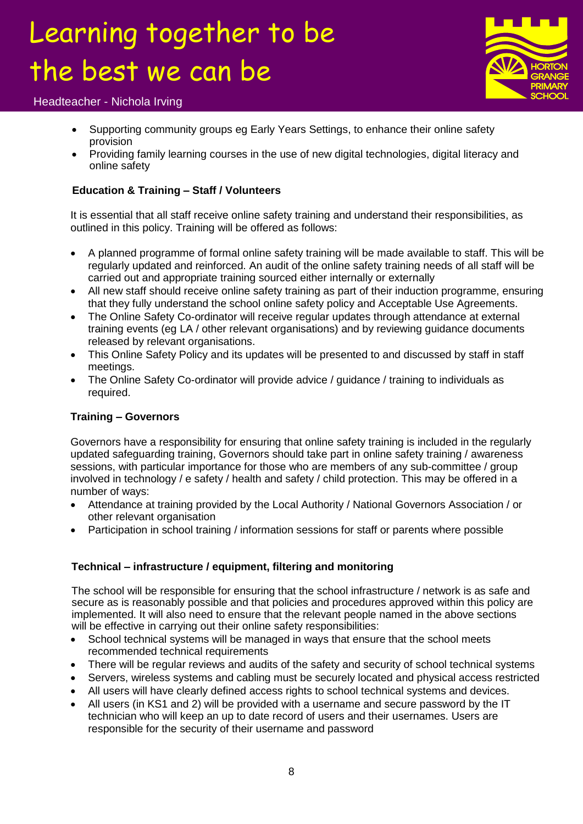

#### Headteacher - Nichola Irving

- Supporting community groups eg Early Years Settings, to enhance their online safety provision
- Providing family learning courses in the use of new digital technologies, digital literacy and online safety

#### **Education & Training – Staff / Volunteers**

It is essential that all staff receive online safety training and understand their responsibilities, as outlined in this policy. Training will be offered as follows:

- A planned programme of formal online safety training will be made available to staff. This will be regularly updated and reinforced. An audit of the online safety training needs of all staff will be carried out and appropriate training sourced either internally or externally
- All new staff should receive online safety training as part of their induction programme, ensuring that they fully understand the school online safety policy and Acceptable Use Agreements.
- The Online Safety Co-ordinator will receive regular updates through attendance at external training events (eg LA / other relevant organisations) and by reviewing guidance documents released by relevant organisations.
- This Online Safety Policy and its updates will be presented to and discussed by staff in staff meetings.
- The Online Safety Co-ordinator will provide advice / guidance / training to individuals as required.

#### **Training – Governors**

Governors have a responsibility for ensuring that online safety training is included in the regularly updated safeguarding training, Governors should take part in online safety training / awareness sessions, with particular importance for those who are members of any sub-committee / group involved in technology / e safety / health and safety / child protection. This may be offered in a number of ways:

- Attendance at training provided by the Local Authority / National Governors Association / or other relevant organisation
- Participation in school training / information sessions for staff or parents where possible

#### **Technical – infrastructure / equipment, filtering and monitoring**

The school will be responsible for ensuring that the school infrastructure / network is as safe and secure as is reasonably possible and that policies and procedures approved within this policy are implemented. It will also need to ensure that the relevant people named in the above sections will be effective in carrying out their online safety responsibilities:

- School technical systems will be managed in ways that ensure that the school meets recommended technical requirements
- There will be regular reviews and audits of the safety and security of school technical systems
- Servers, wireless systems and cabling must be securely located and physical access restricted
- All users will have clearly defined access rights to school technical systems and devices.
- All users (in KS1 and 2) will be provided with a username and secure password by the IT technician who will keep an up to date record of users and their usernames. Users are responsible for the security of their username and password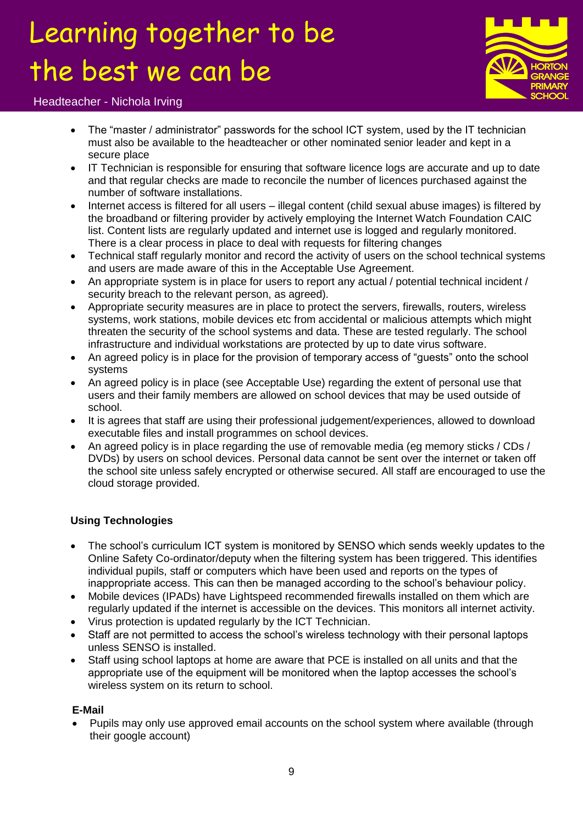

#### Headteacher - Nichola Irving

- The "master / administrator" passwords for the school ICT system, used by the IT technician must also be available to the headteacher or other nominated senior leader and kept in a secure place
- IT Technician is responsible for ensuring that software licence logs are accurate and up to date and that regular checks are made to reconcile the number of licences purchased against the number of software installations.
- Internet access is filtered for all users illegal content (child sexual abuse images) is filtered by the broadband or filtering provider by actively employing the Internet Watch Foundation CAIC list. Content lists are regularly updated and internet use is logged and regularly monitored. There is a clear process in place to deal with requests for filtering changes
- Technical staff regularly monitor and record the activity of users on the school technical systems and users are made aware of this in the Acceptable Use Agreement.
- An appropriate system is in place for users to report any actual / potential technical incident / security breach to the relevant person, as agreed).
- Appropriate security measures are in place to protect the servers, firewalls, routers, wireless systems, work stations, mobile devices etc from accidental or malicious attempts which might threaten the security of the school systems and data. These are tested regularly. The school infrastructure and individual workstations are protected by up to date virus software.
- An agreed policy is in place for the provision of temporary access of "guests" onto the school systems
- An agreed policy is in place (see Acceptable Use) regarding the extent of personal use that users and their family members are allowed on school devices that may be used outside of school.
- It is agrees that staff are using their professional judgement/experiences, allowed to download executable files and install programmes on school devices.
- An agreed policy is in place regarding the use of removable media (eg memory sticks / CDs / DVDs) by users on school devices. Personal data cannot be sent over the internet or taken off the school site unless safely encrypted or otherwise secured. All staff are encouraged to use the cloud storage provided.

#### **Using Technologies**

- The school's curriculum ICT system is monitored by SENSO which sends weekly updates to the Online Safety Co-ordinator/deputy when the filtering system has been triggered. This identifies individual pupils, staff or computers which have been used and reports on the types of inappropriate access. This can then be managed according to the school's behaviour policy.
- Mobile devices (IPADs) have Lightspeed recommended firewalls installed on them which are regularly updated if the internet is accessible on the devices. This monitors all internet activity.
- Virus protection is updated regularly by the ICT Technician.
- Staff are not permitted to access the school's wireless technology with their personal laptops unless SENSO is installed.
- Staff using school laptops at home are aware that PCE is installed on all units and that the appropriate use of the equipment will be monitored when the laptop accesses the school's wireless system on its return to school.

#### **E-Mail**

 Pupils may only use approved email accounts on the school system where available (through their google account)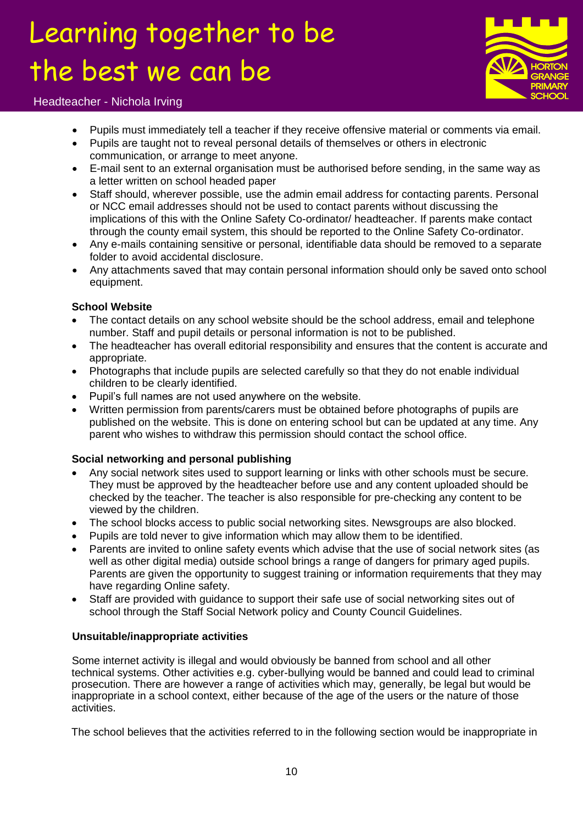

#### Headteacher - Nichola Irving

- Pupils must immediately tell a teacher if they receive offensive material or comments via email.
- Pupils are taught not to reveal personal details of themselves or others in electronic communication, or arrange to meet anyone.
- E-mail sent to an external organisation must be authorised before sending, in the same way as a letter written on school headed paper
- Staff should, wherever possible, use the admin email address for contacting parents. Personal or NCC email addresses should not be used to contact parents without discussing the implications of this with the Online Safety Co-ordinator/ headteacher. If parents make contact through the county email system, this should be reported to the Online Safety Co-ordinator.
- Any e-mails containing sensitive or personal, identifiable data should be removed to a separate folder to avoid accidental disclosure.
- Any attachments saved that may contain personal information should only be saved onto school equipment.

#### **School Website**

- The contact details on any school website should be the school address, email and telephone number. Staff and pupil details or personal information is not to be published.
- The headteacher has overall editorial responsibility and ensures that the content is accurate and appropriate.
- Photographs that include pupils are selected carefully so that they do not enable individual children to be clearly identified.
- Pupil's full names are not used anywhere on the website.
- Written permission from parents/carers must be obtained before photographs of pupils are published on the website. This is done on entering school but can be updated at any time. Any parent who wishes to withdraw this permission should contact the school office.

#### **Social networking and personal publishing**

- Any social network sites used to support learning or links with other schools must be secure. They must be approved by the headteacher before use and any content uploaded should be checked by the teacher. The teacher is also responsible for pre-checking any content to be viewed by the children.
- The school blocks access to public social networking sites. Newsgroups are also blocked.
- Pupils are told never to give information which may allow them to be identified.
- Parents are invited to online safety events which advise that the use of social network sites (as well as other digital media) outside school brings a range of dangers for primary aged pupils. Parents are given the opportunity to suggest training or information requirements that they may have regarding Online safety.
- Staff are provided with guidance to support their safe use of social networking sites out of school through the Staff Social Network policy and County Council Guidelines.

#### **Unsuitable/inappropriate activities**

Some internet activity is illegal and would obviously be banned from school and all other technical systems. Other activities e.g. cyber-bullying would be banned and could lead to criminal prosecution. There are however a range of activities which may, generally, be legal but would be inappropriate in a school context, either because of the age of the users or the nature of those activities.

The school believes that the activities referred to in the following section would be inappropriate in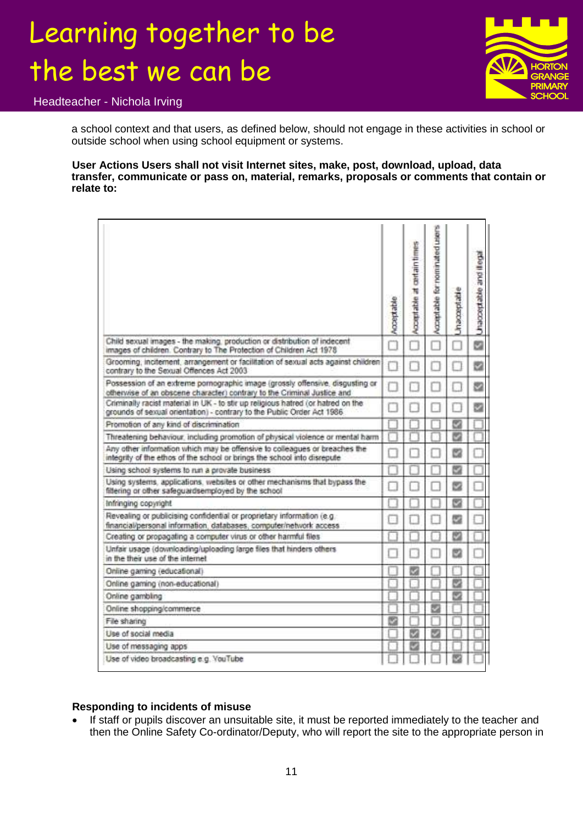

Headteacher - Nichola Irving

a school context and that users, as defined below, should not engage in these activities in school or outside school when using school equipment or systems.

**User Actions Users shall not visit Internet sites, make, post, download, upload, data transfer, communicate or pass on, material, remarks, proposals or comments that contain or relate to:**

|                                                                                                                                                             | Acceptable | Acceptable at certain times | Acceptable for nominated users | <b>Anacceptable</b> | Unacceptable and illegal |
|-------------------------------------------------------------------------------------------------------------------------------------------------------------|------------|-----------------------------|--------------------------------|---------------------|--------------------------|
| Child sexual images - the making, production or distribution of indecent<br>images of children. Contrary to The Protection of Children Act 1978             |            |                             |                                |                     | Ġ                        |
| Grooming, incitement, arrangement or facilitation of sexual acts against children<br>contrary to the Sexual Offences Act 2003                               |            |                             |                                |                     | ø                        |
| Possession of an extreme pornographic image (grossly offensive, disgusting or<br>otherwise of an obscene character) contrary to the Criminal Justice and    |            |                             |                                | я                   | ø                        |
| Criminally racist material in UK - to stir up religious hatred (or hatred on the<br>grounds of sexual orientation) - contrary to the Public Order Act 1986. |            |                             |                                |                     | Ø                        |
| Promotion of any kind of discrimination                                                                                                                     |            |                             |                                |                     |                          |
| Threatening behaviour, including promotion of physical violence or mental harm                                                                              |            |                             |                                |                     |                          |
| Any other information which may be offensive to colleagues or breaches the<br>integrity of the ethos of the school or brings the school into disrepute      |            |                             |                                | B                   |                          |
| Using school systems to run a provate business                                                                                                              |            |                             |                                |                     |                          |
| Using systems, applications, websites or other mechanisms that bypass the<br>filtering or other safeguardsemployed by the school                            |            |                             |                                |                     |                          |
| Infringing copyright                                                                                                                                        |            |                             |                                |                     |                          |
| Revealing or publicising confidential or proprietary information (e.g.<br>financial/personal information, databases, computer/network access                |            |                             |                                | 四                   |                          |
| Creating or propagating a computer virus or other harmful files                                                                                             |            |                             |                                | 82                  |                          |
| Unfair usage (downloading/uploading large files that hinders others<br>in the their use of the internet                                                     |            |                             |                                |                     |                          |
| Online gaming (educational)                                                                                                                                 |            |                             |                                |                     |                          |
| Online gaming (non-educational)                                                                                                                             |            |                             |                                |                     |                          |
| Online gambling                                                                                                                                             |            |                             |                                |                     |                          |
| Online shopping/commerce                                                                                                                                    |            |                             |                                |                     |                          |
| File sharing                                                                                                                                                |            |                             |                                |                     |                          |
| Use of social media                                                                                                                                         |            |                             |                                |                     |                          |
| Use of messaging apps                                                                                                                                       |            |                             |                                |                     |                          |
| Use of video broadcasting e.g. YouTube                                                                                                                      |            |                             |                                |                     |                          |

#### **Responding to incidents of misuse**

 If staff or pupils discover an unsuitable site, it must be reported immediately to the teacher and then the Online Safety Co-ordinator/Deputy, who will report the site to the appropriate person in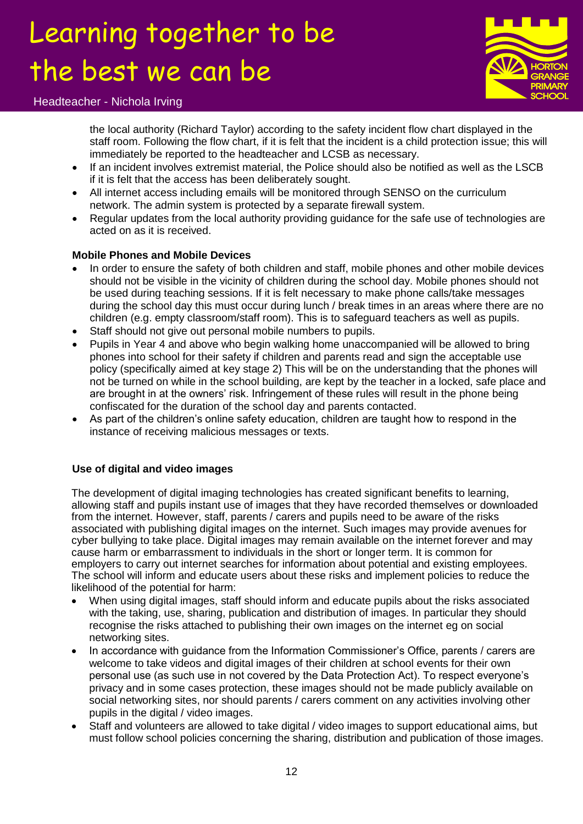

#### Headteacher - Nichola Irving

the local authority (Richard Taylor) according to the safety incident flow chart displayed in the staff room. Following the flow chart, if it is felt that the incident is a child protection issue; this will immediately be reported to the headteacher and LCSB as necessary.

- If an incident involves extremist material, the Police should also be notified as well as the LSCB if it is felt that the access has been deliberately sought.
- All internet access including emails will be monitored through SENSO on the curriculum network. The admin system is protected by a separate firewall system.
- Regular updates from the local authority providing guidance for the safe use of technologies are acted on as it is received.

#### **Mobile Phones and Mobile Devices**

- In order to ensure the safety of both children and staff, mobile phones and other mobile devices should not be visible in the vicinity of children during the school day. Mobile phones should not be used during teaching sessions. If it is felt necessary to make phone calls/take messages during the school day this must occur during lunch / break times in an areas where there are no children (e.g. empty classroom/staff room). This is to safeguard teachers as well as pupils.
- Staff should not give out personal mobile numbers to pupils.
- Pupils in Year 4 and above who begin walking home unaccompanied will be allowed to bring phones into school for their safety if children and parents read and sign the acceptable use policy (specifically aimed at key stage 2) This will be on the understanding that the phones will not be turned on while in the school building, are kept by the teacher in a locked, safe place and are brought in at the owners' risk. Infringement of these rules will result in the phone being confiscated for the duration of the school day and parents contacted.
- As part of the children's online safety education, children are taught how to respond in the instance of receiving malicious messages or texts.

#### **Use of digital and video images**

The development of digital imaging technologies has created significant benefits to learning. allowing staff and pupils instant use of images that they have recorded themselves or downloaded from the internet. However, staff, parents / carers and pupils need to be aware of the risks associated with publishing digital images on the internet. Such images may provide avenues for cyber bullying to take place. Digital images may remain available on the internet forever and may cause harm or embarrassment to individuals in the short or longer term. It is common for employers to carry out internet searches for information about potential and existing employees. The school will inform and educate users about these risks and implement policies to reduce the likelihood of the potential for harm:

- When using digital images, staff should inform and educate pupils about the risks associated with the taking, use, sharing, publication and distribution of images. In particular they should recognise the risks attached to publishing their own images on the internet eg on social networking sites.
- In accordance with guidance from the Information Commissioner's Office, parents / carers are welcome to take videos and digital images of their children at school events for their own personal use (as such use in not covered by the Data Protection Act). To respect everyone's privacy and in some cases protection, these images should not be made publicly available on social networking sites, nor should parents / carers comment on any activities involving other pupils in the digital / video images.
- Staff and volunteers are allowed to take digital / video images to support educational aims, but must follow school policies concerning the sharing, distribution and publication of those images.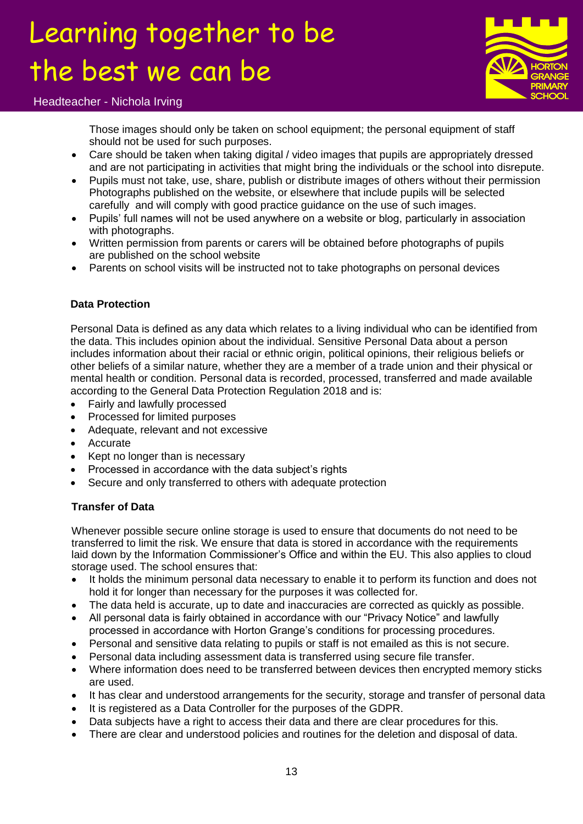

#### Headteacher - Nichola Irving

Those images should only be taken on school equipment; the personal equipment of staff should not be used for such purposes.

- Care should be taken when taking digital / video images that pupils are appropriately dressed and are not participating in activities that might bring the individuals or the school into disrepute.
- Pupils must not take, use, share, publish or distribute images of others without their permission Photographs published on the website, or elsewhere that include pupils will be selected carefully and will comply with good practice guidance on the use of such images.
- Pupils' full names will not be used anywhere on a website or blog, particularly in association with photographs.
- Written permission from parents or carers will be obtained before photographs of pupils are published on the school website
- Parents on school visits will be instructed not to take photographs on personal devices

#### **Data Protection**

Personal Data is defined as any data which relates to a living individual who can be identified from the data. This includes opinion about the individual. Sensitive Personal Data about a person includes information about their racial or ethnic origin, political opinions, their religious beliefs or other beliefs of a similar nature, whether they are a member of a trade union and their physical or mental health or condition. Personal data is recorded, processed, transferred and made available according to the General Data Protection Regulation 2018 and is:

- Fairly and lawfully processed
- Processed for limited purposes
- Adequate, relevant and not excessive
- Accurate
- Kept no longer than is necessary
- Processed in accordance with the data subject's rights
- Secure and only transferred to others with adequate protection

#### **Transfer of Data**

Whenever possible secure online storage is used to ensure that documents do not need to be transferred to limit the risk. We ensure that data is stored in accordance with the requirements laid down by the Information Commissioner's Office and within the EU. This also applies to cloud storage used. The school ensures that:

- It holds the minimum personal data necessary to enable it to perform its function and does not hold it for longer than necessary for the purposes it was collected for.
- The data held is accurate, up to date and inaccuracies are corrected as quickly as possible.
- All personal data is fairly obtained in accordance with our "Privacy Notice" and lawfully processed in accordance with Horton Grange's conditions for processing procedures.
- Personal and sensitive data relating to pupils or staff is not emailed as this is not secure.
- Personal data including assessment data is transferred using secure file transfer.
- Where information does need to be transferred between devices then encrypted memory sticks are used.
- It has clear and understood arrangements for the security, storage and transfer of personal data
- It is registered as a Data Controller for the purposes of the GDPR.
- Data subjects have a right to access their data and there are clear procedures for this.
- There are clear and understood policies and routines for the deletion and disposal of data.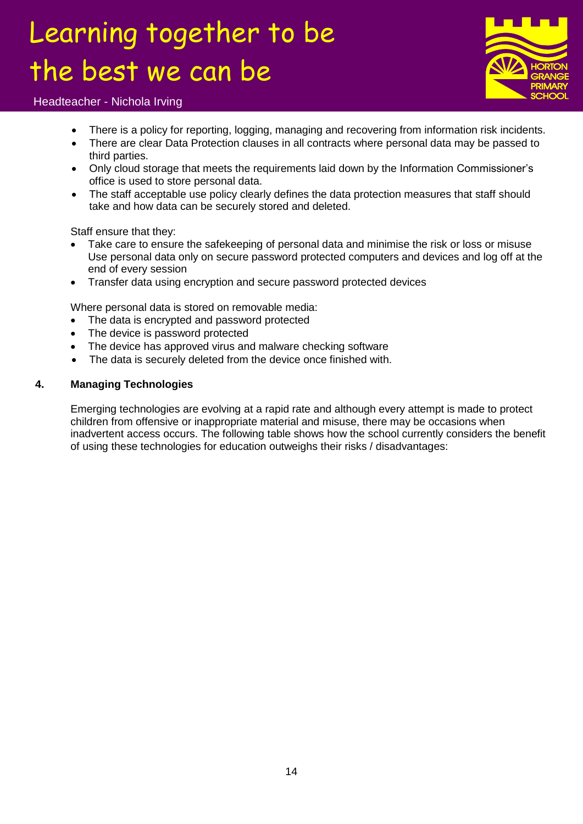

#### Headteacher - Nichola Irving

- There is a policy for reporting, logging, managing and recovering from information risk incidents.
- There are clear Data Protection clauses in all contracts where personal data may be passed to third parties.
- Only cloud storage that meets the requirements laid down by the Information Commissioner's office is used to store personal data.
- The staff acceptable use policy clearly defines the data protection measures that staff should take and how data can be securely stored and deleted.

Staff ensure that they:

- Take care to ensure the safekeeping of personal data and minimise the risk or loss or misuse Use personal data only on secure password protected computers and devices and log off at the end of every session
- Transfer data using encryption and secure password protected devices

Where personal data is stored on removable media:

- The data is encrypted and password protected
- The device is password protected
- The device has approved virus and malware checking software
- The data is securely deleted from the device once finished with.

#### **4. Managing Technologies**

Emerging technologies are evolving at a rapid rate and although every attempt is made to protect children from offensive or inappropriate material and misuse, there may be occasions when inadvertent access occurs. The following table shows how the school currently considers the benefit of using these technologies for education outweighs their risks / disadvantages: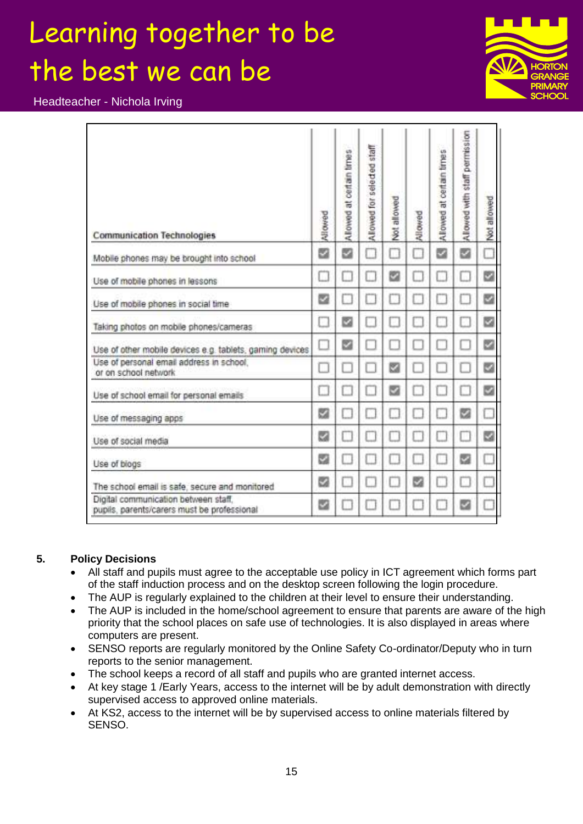Headteacher - Nichola Irving

| <b>Communication Technologies</b>                                                   | Allowed | certain times<br>$\vec{v}$<br>Allowed | staff<br>Allowed for selected | Not allowed | Allowed | at certain times<br>Allowed | Allowed with staff permission | Not allowed |
|-------------------------------------------------------------------------------------|---------|---------------------------------------|-------------------------------|-------------|---------|-----------------------------|-------------------------------|-------------|
| Mobile phones may be brought into school                                            | z       | ø                                     | B                             | .           | 13      | z                           | z                             |             |
| Use of mobile phones in lessons                                                     | ш       |                                       |                               | s           |         | n                           |                               | y           |
| Use of mobile phones in social time                                                 | ఆ       |                                       |                               |             |         |                             |                               | ☑           |
| Taking photos on mobile phones/cameras                                              | ×.      | z                                     |                               |             |         |                             |                               | ⊻           |
| Use of other mobile devices e.g. tablets, gaming devices                            |         | z                                     |                               |             |         |                             |                               | e           |
| Use of personal email address in school.<br>or on school network                    | Ш       |                                       |                               | ⊠           |         |                             |                               | ø           |
| Use of school email for personal emails                                             |         |                                       |                               | s           |         |                             |                               | s           |
| Use of messaging apps                                                               | s       |                                       |                               |             |         |                             | ø                             |             |
| Use of social media                                                                 | ø       |                                       |                               |             |         |                             | Ħ                             | M           |
| Use of blogs                                                                        | s       |                                       |                               |             |         | U.                          | z                             |             |
| The school email is safe, secure and monitored                                      | s       |                                       |                               |             | z       |                             |                               |             |
| Digital communication between staff.<br>pupils, parents/carers must be professional | u       |                                       |                               |             |         |                             | ◡                             |             |

#### **5. Policy Decisions**

- All staff and pupils must agree to the acceptable use policy in ICT agreement which forms part of the staff induction process and on the desktop screen following the login procedure.
- The AUP is regularly explained to the children at their level to ensure their understanding.
- The AUP is included in the home/school agreement to ensure that parents are aware of the high priority that the school places on safe use of technologies. It is also displayed in areas where computers are present.
- SENSO reports are regularly monitored by the Online Safety Co-ordinator/Deputy who in turn reports to the senior management.
- The school keeps a record of all staff and pupils who are granted internet access.
- At key stage 1 /Early Years, access to the internet will be by adult demonstration with directly supervised access to approved online materials.
- At KS2, access to the internet will be by supervised access to online materials filtered by SENSO.